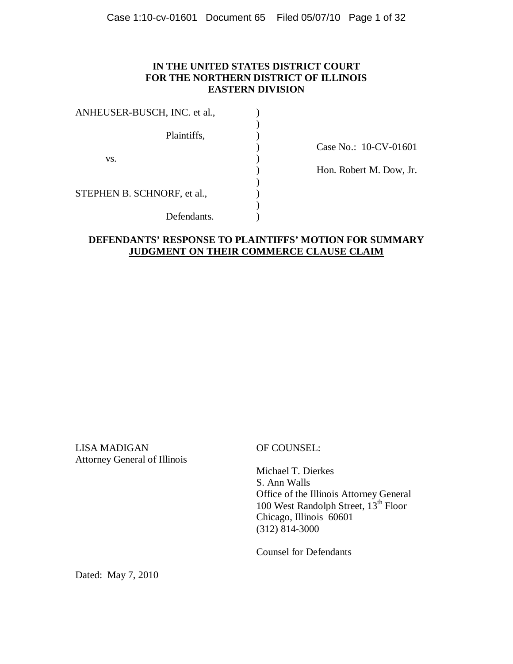## **IN THE UNITED STATES DISTRICT COURT FOR THE NORTHERN DISTRICT OF ILLINOIS EASTERN DIVISION**

| ANHEUSER-BUSCH, INC. et al., |  |
|------------------------------|--|
|                              |  |
| Plaintiffs,                  |  |
|                              |  |
| VS.                          |  |
|                              |  |
|                              |  |
| STEPHEN B. SCHNORF, et al.,  |  |
|                              |  |
| Defendants.                  |  |

) Case No.: 10-CV-01601

) Hon. Robert M. Dow, Jr.

## **DEFENDANTS' RESPONSE TO PLAINTIFFS' MOTION FOR SUMMARY JUDGMENT ON THEIR COMMERCE CLAUSE CLAIM**

LISA MADIGAN OF COUNSEL: Attorney General of Illinois

 Michael T. Dierkes S. Ann Walls Office of the Illinois Attorney General 100 West Randolph Street, 13<sup>th</sup> Floor Chicago, Illinois 60601 (312) 814-3000

Counsel for Defendants

Dated: May 7, 2010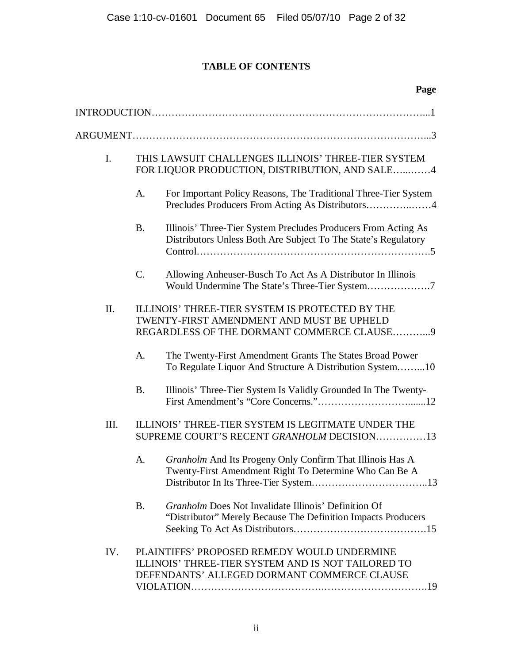# **TABLE OF CONTENTS**

| Page                                                                                                                                                    |  |
|---------------------------------------------------------------------------------------------------------------------------------------------------------|--|
|                                                                                                                                                         |  |
|                                                                                                                                                         |  |
| I.<br>THIS LAWSUIT CHALLENGES ILLINOIS' THREE-TIER SYSTEM<br>FOR LIQUOR PRODUCTION, DISTRIBUTION, AND SALE4                                             |  |
| A.<br>For Important Policy Reasons, The Traditional Three-Tier System                                                                                   |  |
| Illinois' Three-Tier System Precludes Producers From Acting As<br><b>B.</b><br>Distributors Unless Both Are Subject To The State's Regulatory           |  |
| $C_{\cdot}$<br>Allowing Anheuser-Busch To Act As A Distributor In Illinois                                                                              |  |
| II.<br>ILLINOIS' THREE-TIER SYSTEM IS PROTECTED BY THE<br>TWENTY-FIRST AMENDMENT AND MUST BE UPHELD<br>REGARDLESS OF THE DORMANT COMMERCE CLAUSE9       |  |
| A.<br>The Twenty-First Amendment Grants The States Broad Power<br>To Regulate Liquor And Structure A Distribution System10                              |  |
| <b>B.</b><br>Illinois' Three-Tier System Is Validly Grounded In The Twenty-                                                                             |  |
| ILLINOIS' THREE-TIER SYSTEM IS LEGITMATE UNDER THE<br>III.<br>SUPREME COURT'S RECENT GRANHOLM DECISION13                                                |  |
| Granholm And Its Progeny Only Confirm That Illinois Has A<br>А.<br>Twenty-First Amendment Right To Determine Who Can Be A                               |  |
| Granholm Does Not Invalidate Illinois' Definition Of<br><b>B.</b><br>"Distributor" Merely Because The Definition Impacts Producers                      |  |
| IV.<br>PLAINTIFFS' PROPOSED REMEDY WOULD UNDERMINE<br>ILLINOIS' THREE-TIER SYSTEM AND IS NOT TAILORED TO<br>DEFENDANTS' ALLEGED DORMANT COMMERCE CLAUSE |  |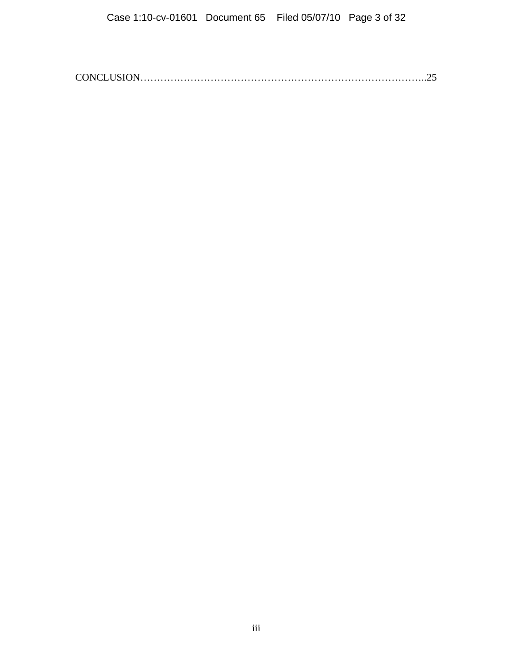CONCLUSION…………………………………………………………………………..25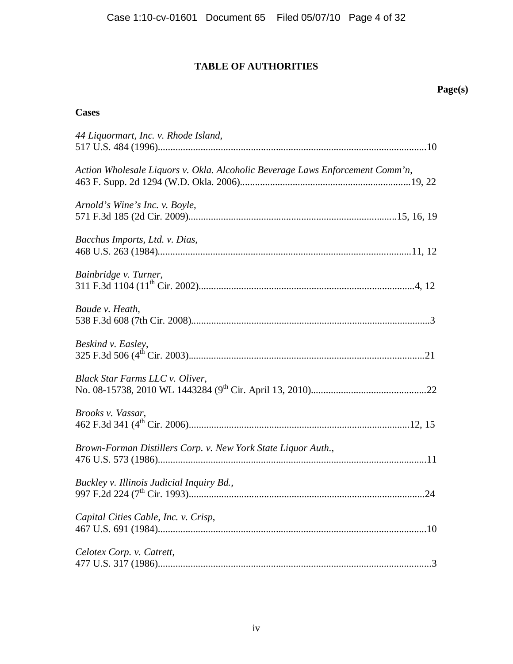# **TABLE OF AUTHORITIES**

### **Page(s)**

# **Cases**

| 44 Liquormart, Inc. v. Rhode Island,                                          |
|-------------------------------------------------------------------------------|
| Action Wholesale Liquors v. Okla. Alcoholic Beverage Laws Enforcement Comm'n, |
| Arnold's Wine's Inc. v. Boyle,                                                |
| Bacchus Imports, Ltd. v. Dias,                                                |
| Bainbridge v. Turner,                                                         |
| Baude v. Heath,                                                               |
| Beskind v. Easley,                                                            |
| Black Star Farms LLC v. Oliver,                                               |
| Brooks v. Vassar,                                                             |
| Brown-Forman Distillers Corp. v. New York State Liquor Auth.,                 |
| Buckley v. Illinois Judicial Inquiry Bd.,                                     |
| Capital Cities Cable, Inc. v. Crisp,                                          |
| Celotex Corp. v. Catrett,                                                     |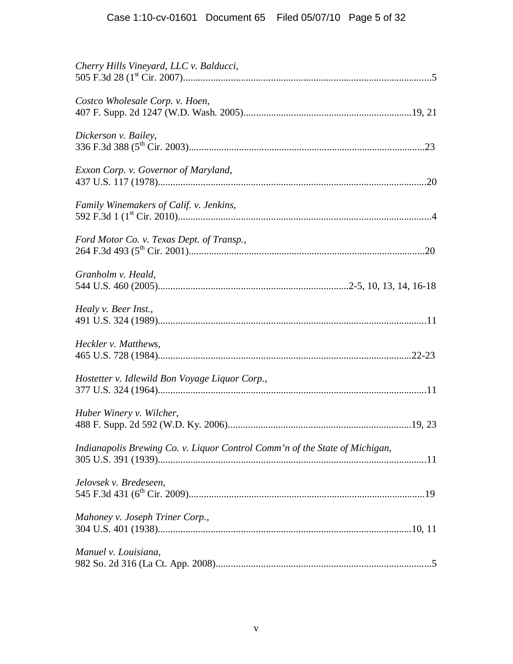| Cherry Hills Vineyard, LLC v. Balducci,                                     |
|-----------------------------------------------------------------------------|
| Costco Wholesale Corp. v. Hoen,                                             |
| Dickerson v. Bailey,                                                        |
| Exxon Corp. v. Governor of Maryland,                                        |
| Family Winemakers of Calif. v. Jenkins,                                     |
| Ford Motor Co. v. Texas Dept. of Transp.,                                   |
| Granholm v. Heald,                                                          |
| Healy v. Beer Inst.,                                                        |
| Heckler v. Matthews,                                                        |
| Hostetter v. Idlewild Bon Voyage Liquor Corp.,                              |
| Huber Winery v. Wilcher,                                                    |
| Indianapolis Brewing Co. v. Liquor Control Comm'n of the State of Michigan, |
| Jelovsek v. Bredeseen,                                                      |
| Mahoney v. Joseph Triner Corp.,                                             |
| Manuel v. Louisiana,                                                        |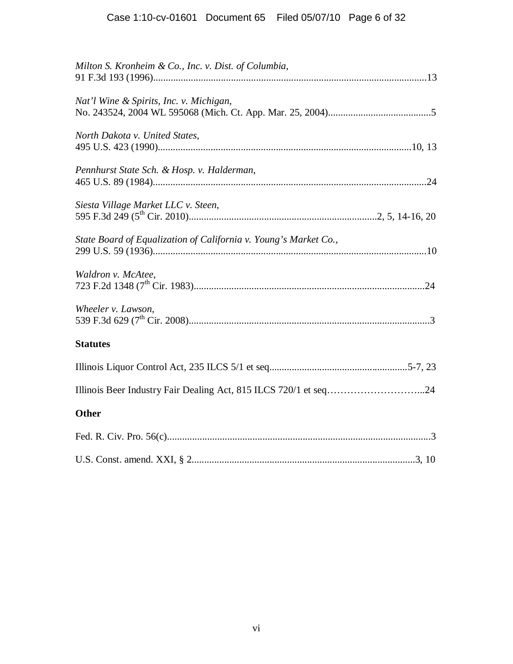| Milton S. Kronheim & Co., Inc. v. Dist. of Columbia,             |  |
|------------------------------------------------------------------|--|
| Nat'l Wine & Spirits, Inc. v. Michigan,                          |  |
| North Dakota v. United States,                                   |  |
| Pennhurst State Sch. & Hosp. v. Halderman,                       |  |
| Siesta Village Market LLC v. Steen,                              |  |
| State Board of Equalization of California v. Young's Market Co., |  |
| Waldron v. McAtee,                                               |  |
| Wheeler v. Lawson,                                               |  |
| <b>Statutes</b>                                                  |  |
|                                                                  |  |
| Illinois Beer Industry Fair Dealing Act, 815 ILCS 720/1 et seq24 |  |
| <b>Other</b>                                                     |  |
|                                                                  |  |
|                                                                  |  |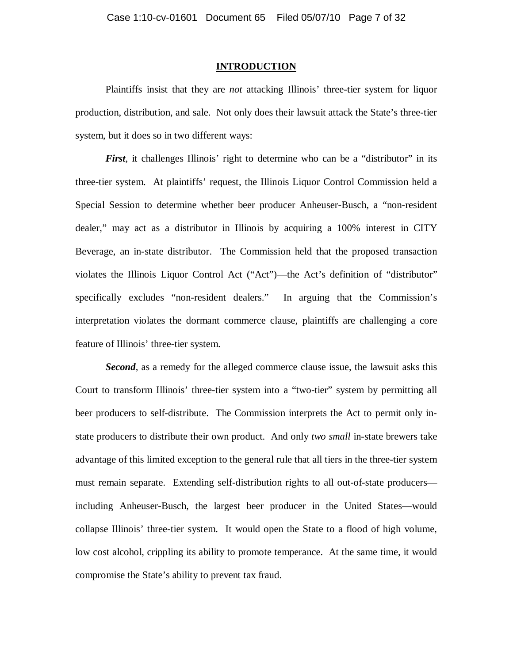### **INTRODUCTION**

Plaintiffs insist that they are *not* attacking Illinois' three-tier system for liquor production, distribution, and sale. Not only does their lawsuit attack the State's three-tier system, but it does so in two different ways:

*First*, it challenges Illinois' right to determine who can be a "distributor" in its three-tier system. At plaintiffs' request, the Illinois Liquor Control Commission held a Special Session to determine whether beer producer Anheuser-Busch, a "non-resident dealer," may act as a distributor in Illinois by acquiring a 100% interest in CITY Beverage, an in-state distributor. The Commission held that the proposed transaction violates the Illinois Liquor Control Act ("Act")—the Act's definition of "distributor" specifically excludes "non-resident dealers." In arguing that the Commission's interpretation violates the dormant commerce clause, plaintiffs are challenging a core feature of Illinois' three-tier system.

*Second*, as a remedy for the alleged commerce clause issue, the lawsuit asks this Court to transform Illinois' three-tier system into a "two-tier" system by permitting all beer producers to self-distribute. The Commission interprets the Act to permit only instate producers to distribute their own product. And only *two small* in-state brewers take advantage of this limited exception to the general rule that all tiers in the three-tier system must remain separate. Extending self-distribution rights to all out-of-state producers including Anheuser-Busch, the largest beer producer in the United States—would collapse Illinois' three-tier system. It would open the State to a flood of high volume, low cost alcohol, crippling its ability to promote temperance. At the same time, it would compromise the State's ability to prevent tax fraud.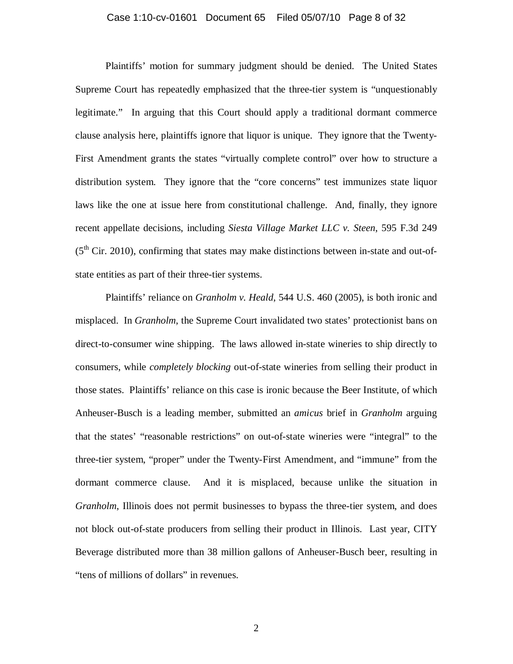### Case 1:10-cv-01601 Document 65 Filed 05/07/10 Page 8 of 32

 Plaintiffs' motion for summary judgment should be denied. The United States Supreme Court has repeatedly emphasized that the three-tier system is "unquestionably legitimate." In arguing that this Court should apply a traditional dormant commerce clause analysis here, plaintiffs ignore that liquor is unique. They ignore that the Twenty-First Amendment grants the states "virtually complete control" over how to structure a distribution system. They ignore that the "core concerns" test immunizes state liquor laws like the one at issue here from constitutional challenge. And, finally, they ignore recent appellate decisions, including *Siesta Village Market LLC v. Steen*, 595 F.3d 249  $(5<sup>th</sup> Cir. 2010)$ , confirming that states may make distinctions between in-state and out-ofstate entities as part of their three-tier systems.

 Plaintiffs' reliance on *Granholm v. Heald*, 544 U.S. 460 (2005), is both ironic and misplaced. In *Granholm*, the Supreme Court invalidated two states' protectionist bans on direct-to-consumer wine shipping. The laws allowed in-state wineries to ship directly to consumers, while *completely blocking* out-of-state wineries from selling their product in those states. Plaintiffs' reliance on this case is ironic because the Beer Institute, of which Anheuser-Busch is a leading member, submitted an *amicus* brief in *Granholm* arguing that the states' "reasonable restrictions" on out-of-state wineries were "integral" to the three-tier system, "proper" under the Twenty-First Amendment, and "immune" from the dormant commerce clause. And it is misplaced, because unlike the situation in *Granholm*, Illinois does not permit businesses to bypass the three-tier system, and does not block out-of-state producers from selling their product in Illinois. Last year, CITY Beverage distributed more than 38 million gallons of Anheuser-Busch beer, resulting in "tens of millions of dollars" in revenues.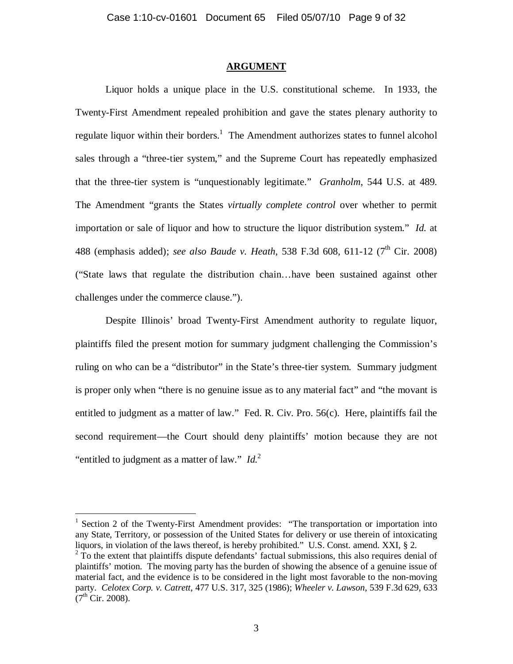### **ARGUMENT**

 Liquor holds a unique place in the U.S. constitutional scheme. In 1933, the Twenty-First Amendment repealed prohibition and gave the states plenary authority to regulate liquor within their borders.<sup>1</sup> The Amendment authorizes states to funnel alcohol sales through a "three-tier system," and the Supreme Court has repeatedly emphasized that the three-tier system is "unquestionably legitimate." *Granholm*, 544 U.S. at 489. The Amendment "grants the States *virtually complete control* over whether to permit importation or sale of liquor and how to structure the liquor distribution system." *Id.* at 488 (emphasis added); *see also Baude v. Heath*, 538 F.3d 608, 611-12 (7<sup>th</sup> Cir. 2008) ("State laws that regulate the distribution chain…have been sustained against other challenges under the commerce clause.").

 Despite Illinois' broad Twenty-First Amendment authority to regulate liquor, plaintiffs filed the present motion for summary judgment challenging the Commission's ruling on who can be a "distributor" in the State's three-tier system. Summary judgment is proper only when "there is no genuine issue as to any material fact" and "the movant is entitled to judgment as a matter of law." Fed. R. Civ. Pro. 56(c). Here, plaintiffs fail the second requirement—the Court should deny plaintiffs' motion because they are not "entitled to judgment as a matter of law." *Id.*<sup>2</sup>

<sup>1</sup> Section 2 of the Twenty-First Amendment provides: "The transportation or importation into any State, Territory, or possession of the United States for delivery or use therein of intoxicating liquors, in violation of the laws thereof, is hereby prohibited." U.S. Const. amend. XXI, § 2.

 $2\hat{T}$  To the extent that plaintiffs dispute defendants' factual submissions, this also requires denial of plaintiffs' motion. The moving party has the burden of showing the absence of a genuine issue of material fact, and the evidence is to be considered in the light most favorable to the non-moving party. *Celotex Corp. v. Catrett*, 477 U.S. 317, 325 (1986); *Wheeler v. Lawson*, 539 F.3d 629, 633  $(7<sup>th</sup> Cir. 2008).$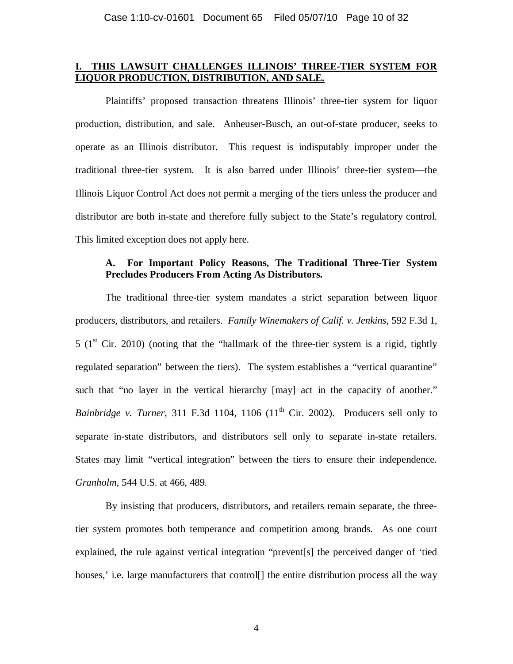# **I. THIS LAWSUIT CHALLENGES ILLINOIS' THREE-TIER SYSTEM FOR LIQUOR PRODUCTION, DISTRIBUTION, AND SALE.**

 Plaintiffs' proposed transaction threatens Illinois' three-tier system for liquor production, distribution, and sale. Anheuser-Busch, an out-of-state producer, seeks to operate as an Illinois distributor. This request is indisputably improper under the traditional three-tier system. It is also barred under Illinois' three-tier system—the Illinois Liquor Control Act does not permit a merging of the tiers unless the producer and distributor are both in-state and therefore fully subject to the State's regulatory control. This limited exception does not apply here.

# **A. For Important Policy Reasons, The Traditional Three-Tier System Precludes Producers From Acting As Distributors.**

 The traditional three-tier system mandates a strict separation between liquor producers, distributors, and retailers. *Family Winemakers of Calif. v. Jenkins*, 592 F.3d 1, 5 ( $1<sup>st</sup>$  Cir. 2010) (noting that the "hallmark of the three-tier system is a rigid, tightly regulated separation" between the tiers). The system establishes a "vertical quarantine" such that "no layer in the vertical hierarchy [may] act in the capacity of another." *Bainbridge v. Turner*, 311 F.3d 1104, 1106  $(11<sup>th</sup> Cir. 2002)$ . Producers sell only to separate in-state distributors, and distributors sell only to separate in-state retailers. States may limit "vertical integration" between the tiers to ensure their independence. *Granholm*, 544 U.S. at 466, 489.

 By insisting that producers, distributors, and retailers remain separate, the threetier system promotes both temperance and competition among brands. As one court explained, the rule against vertical integration "prevent[s] the perceived danger of 'tied houses, i.e. large manufacturers that control  $\vert \vert$  the entire distribution process all the way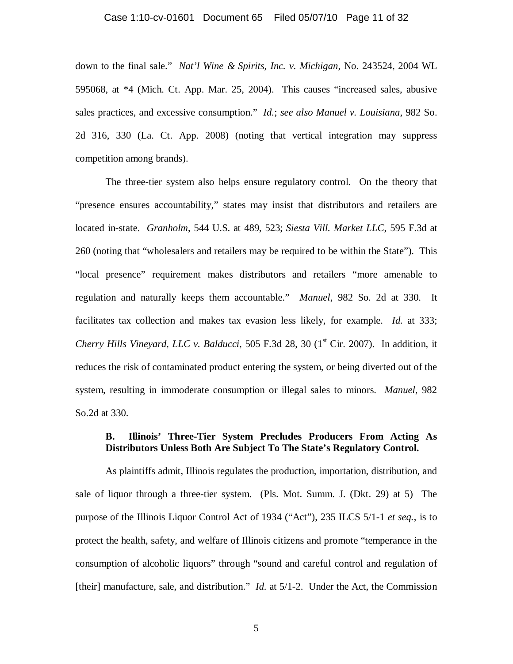#### Case 1:10-cv-01601 Document 65 Filed 05/07/10 Page 11 of 32

down to the final sale." *Nat'l Wine & Spirits, Inc. v. Michigan*, No. 243524, 2004 WL 595068, at \*4 (Mich. Ct. App. Mar. 25, 2004). This causes "increased sales, abusive sales practices, and excessive consumption." *Id.*; *see also Manuel v. Louisiana*, 982 So. 2d 316, 330 (La. Ct. App. 2008) (noting that vertical integration may suppress competition among brands).

 The three-tier system also helps ensure regulatory control. On the theory that "presence ensures accountability," states may insist that distributors and retailers are located in-state. *Granholm*, 544 U.S. at 489, 523; *Siesta Vill. Market LLC*, 595 F.3d at 260 (noting that "wholesalers and retailers may be required to be within the State"). This "local presence" requirement makes distributors and retailers "more amenable to regulation and naturally keeps them accountable." *Manuel*, 982 So. 2d at 330. It facilitates tax collection and makes tax evasion less likely, for example. *Id.* at 333; *Cherry Hills Vineyard, LLC v. Balducci,* 505 F.3d 28, 30  $(1<sup>st</sup> Cir. 2007)$ . In addition, it reduces the risk of contaminated product entering the system, or being diverted out of the system, resulting in immoderate consumption or illegal sales to minors. *Manuel*, 982 So.2d at 330.

### **B. Illinois' Three-Tier System Precludes Producers From Acting As Distributors Unless Both Are Subject To The State's Regulatory Control.**

 As plaintiffs admit, Illinois regulates the production, importation, distribution, and sale of liquor through a three-tier system. (Pls. Mot. Summ. J. (Dkt. 29) at 5) The purpose of the Illinois Liquor Control Act of 1934 ("Act"), 235 ILCS 5/1-1 *et seq.*, is to protect the health, safety, and welfare of Illinois citizens and promote "temperance in the consumption of alcoholic liquors" through "sound and careful control and regulation of [their] manufacture, sale, and distribution." *Id.* at 5/1-2. Under the Act, the Commission

5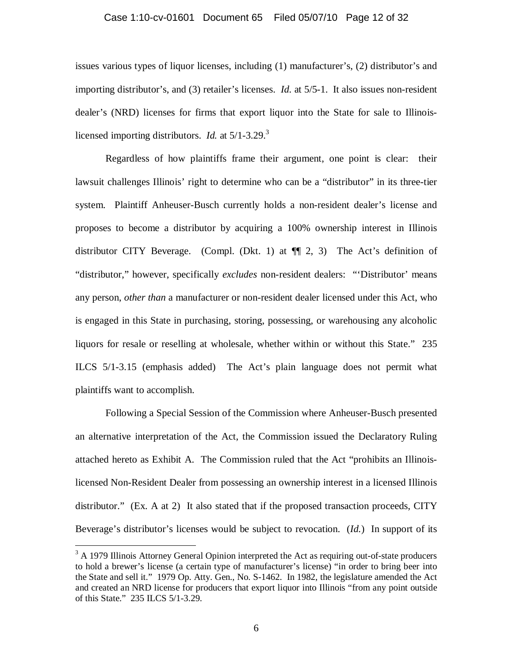#### Case 1:10-cv-01601 Document 65 Filed 05/07/10 Page 12 of 32

issues various types of liquor licenses, including (1) manufacturer's, (2) distributor's and importing distributor's, and (3) retailer's licenses. *Id.* at 5/5-1. It also issues non-resident dealer's (NRD) licenses for firms that export liquor into the State for sale to Illinoislicensed importing distributors. *Id.* at 5/1-3.29.<sup>3</sup>

 Regardless of how plaintiffs frame their argument, one point is clear: their lawsuit challenges Illinois' right to determine who can be a "distributor" in its three-tier system. Plaintiff Anheuser-Busch currently holds a non-resident dealer's license and proposes to become a distributor by acquiring a 100% ownership interest in Illinois distributor CITY Beverage. (Compl. (Dkt. 1) at ¶¶ 2, 3) The Act's definition of "distributor," however, specifically *excludes* non-resident dealers: "'Distributor' means any person, *other than* a manufacturer or non-resident dealer licensed under this Act, who is engaged in this State in purchasing, storing, possessing, or warehousing any alcoholic liquors for resale or reselling at wholesale, whether within or without this State." 235 ILCS 5/1-3.15 (emphasis added) The Act's plain language does not permit what plaintiffs want to accomplish.

 Following a Special Session of the Commission where Anheuser-Busch presented an alternative interpretation of the Act, the Commission issued the Declaratory Ruling attached hereto as Exhibit A. The Commission ruled that the Act "prohibits an Illinoislicensed Non-Resident Dealer from possessing an ownership interest in a licensed Illinois distributor." (Ex. A at 2) It also stated that if the proposed transaction proceeds, CITY Beverage's distributor's licenses would be subject to revocation. (*Id.*) In support of its

 $3$  A 1979 Illinois Attorney General Opinion interpreted the Act as requiring out-of-state producers to hold a brewer's license (a certain type of manufacturer's license) "in order to bring beer into the State and sell it." 1979 Op. Atty. Gen., No. S-1462. In 1982, the legislature amended the Act and created an NRD license for producers that export liquor into Illinois "from any point outside of this State." 235 ILCS 5/1-3.29.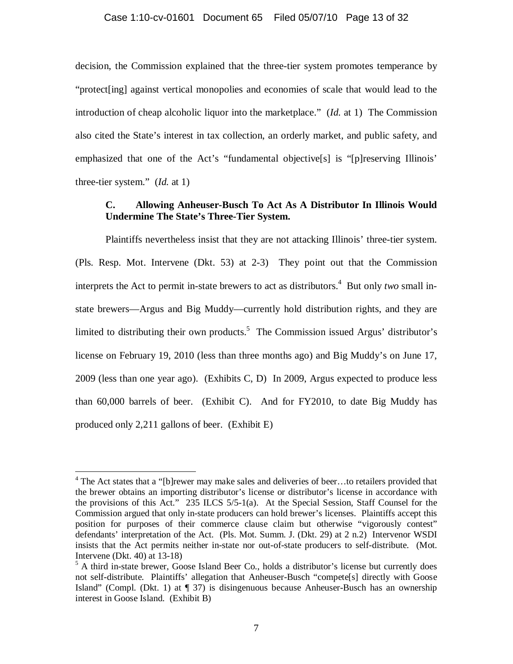### Case 1:10-cv-01601 Document 65 Filed 05/07/10 Page 13 of 32

decision, the Commission explained that the three-tier system promotes temperance by "protect[ing] against vertical monopolies and economies of scale that would lead to the introduction of cheap alcoholic liquor into the marketplace." (*Id.* at 1) The Commission also cited the State's interest in tax collection, an orderly market, and public safety, and emphasized that one of the Act's "fundamental objective[s] is "[p]reserving Illinois' three-tier system." (*Id.* at 1)

### **C. Allowing Anheuser-Busch To Act As A Distributor In Illinois Would Undermine The State's Three-Tier System.**

 Plaintiffs nevertheless insist that they are not attacking Illinois' three-tier system. (Pls. Resp. Mot. Intervene (Dkt. 53) at 2-3) They point out that the Commission interprets the Act to permit in-state brewers to act as distributors.<sup>4</sup> But only *two* small instate brewers—Argus and Big Muddy—currently hold distribution rights, and they are limited to distributing their own products.<sup>5</sup> The Commission issued Argus' distributor's license on February 19, 2010 (less than three months ago) and Big Muddy's on June 17, 2009 (less than one year ago). (Exhibits C, D) In 2009, Argus expected to produce less than 60,000 barrels of beer. (Exhibit C). And for FY2010, to date Big Muddy has produced only 2,211 gallons of beer. (Exhibit E)

<sup>&</sup>lt;sup>4</sup> The Act states that a "[b]rewer may make sales and deliveries of beer...to retailers provided that the brewer obtains an importing distributor's license or distributor's license in accordance with the provisions of this Act." 235 ILCS 5/5-1(a). At the Special Session, Staff Counsel for the Commission argued that only in-state producers can hold brewer's licenses. Plaintiffs accept this position for purposes of their commerce clause claim but otherwise "vigorously contest" defendants' interpretation of the Act. (Pls. Mot. Summ. J. (Dkt. 29) at 2 n.2) Intervenor WSDI insists that the Act permits neither in-state nor out-of-state producers to self-distribute. (Mot. Intervene (Dkt. 40) at 13-18)

<sup>&</sup>lt;sup>5</sup> A third in-state brewer, Goose Island Beer Co., holds a distributor's license but currently does not self-distribute. Plaintiffs' allegation that Anheuser-Busch "compete[s] directly with Goose Island" (Compl. (Dkt. 1) at ¶ 37) is disingenuous because Anheuser-Busch has an ownership interest in Goose Island. (Exhibit B)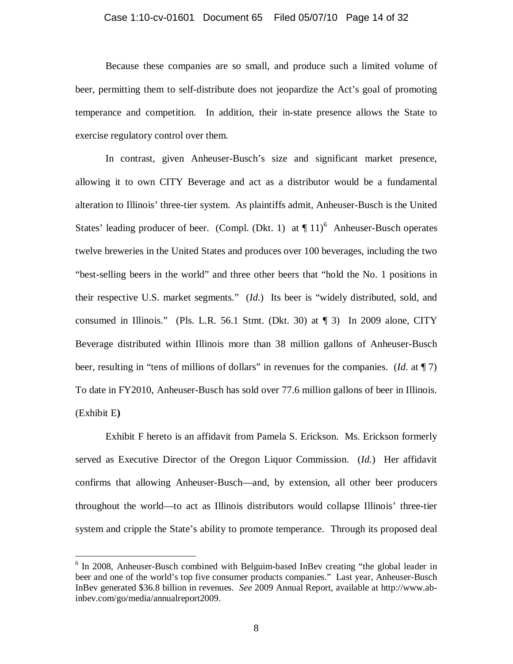#### Case 1:10-cv-01601 Document 65 Filed 05/07/10 Page 14 of 32

 Because these companies are so small, and produce such a limited volume of beer, permitting them to self-distribute does not jeopardize the Act's goal of promoting temperance and competition. In addition, their in-state presence allows the State to exercise regulatory control over them.

 In contrast, given Anheuser-Busch's size and significant market presence, allowing it to own CITY Beverage and act as a distributor would be a fundamental alteration to Illinois' three-tier system. As plaintiffs admit, Anheuser-Busch is the United States' leading producer of beer. (Compl. (Dkt. 1) at  $\P$  11)<sup>6</sup> Anheuser-Busch operates twelve breweries in the United States and produces over 100 beverages, including the two "best-selling beers in the world" and three other beers that "hold the No. 1 positions in their respective U.S. market segments." (*Id.*) Its beer is "widely distributed, sold, and consumed in Illinois." (Pls. L.R. 56.1 Stmt. (Dkt. 30) at  $\P$  3) In 2009 alone, CITY Beverage distributed within Illinois more than 38 million gallons of Anheuser-Busch beer, resulting in "tens of millions of dollars" in revenues for the companies. (*Id.* at ¶ 7) To date in FY2010, Anheuser-Busch has sold over 77.6 million gallons of beer in Illinois. (Exhibit E**)**

 Exhibit F hereto is an affidavit from Pamela S. Erickson. Ms. Erickson formerly served as Executive Director of the Oregon Liquor Commission. (*Id.*) Her affidavit confirms that allowing Anheuser-Busch—and, by extension, all other beer producers throughout the world—to act as Illinois distributors would collapse Illinois' three-tier system and cripple the State's ability to promote temperance. Through its proposed deal

<sup>&</sup>lt;sup>6</sup> In 2008, Anheuser-Busch combined with Belguim-based InBev creating "the global leader in beer and one of the world's top five consumer products companies." Last year, Anheuser-Busch InBev generated \$36.8 billion in revenues. *See* 2009 Annual Report, available at http://www.abinbev.com/go/media/annualreport2009.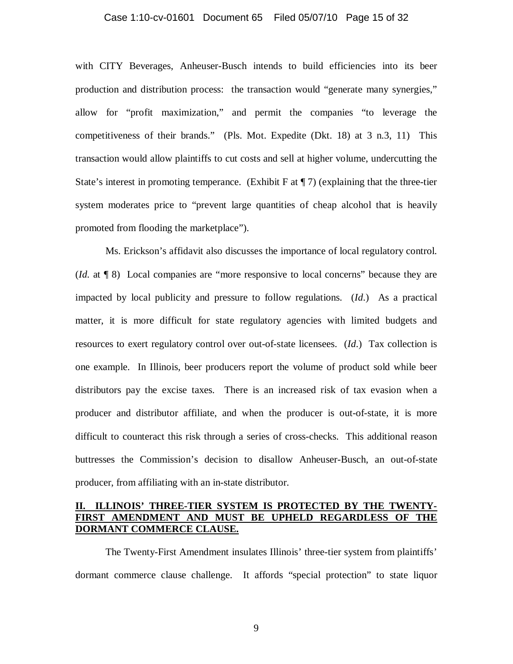#### Case 1:10-cv-01601 Document 65 Filed 05/07/10 Page 15 of 32

with CITY Beverages, Anheuser-Busch intends to build efficiencies into its beer production and distribution process: the transaction would "generate many synergies," allow for "profit maximization," and permit the companies "to leverage the competitiveness of their brands." (Pls. Mot. Expedite (Dkt. 18) at 3 n.3, 11) This transaction would allow plaintiffs to cut costs and sell at higher volume, undercutting the State's interest in promoting temperance. (Exhibit F at  $\P$  7) (explaining that the three-tier system moderates price to "prevent large quantities of cheap alcohol that is heavily promoted from flooding the marketplace").

 Ms. Erickson's affidavit also discusses the importance of local regulatory control. (*Id.* at ¶ 8) Local companies are "more responsive to local concerns" because they are impacted by local publicity and pressure to follow regulations. (*Id*.) As a practical matter, it is more difficult for state regulatory agencies with limited budgets and resources to exert regulatory control over out-of-state licensees. (*Id*.) Tax collection is one example. In Illinois, beer producers report the volume of product sold while beer distributors pay the excise taxes. There is an increased risk of tax evasion when a producer and distributor affiliate, and when the producer is out-of-state, it is more difficult to counteract this risk through a series of cross-checks. This additional reason buttresses the Commission's decision to disallow Anheuser-Busch, an out-of-state producer, from affiliating with an in-state distributor.

### **II. ILLINOIS' THREE-TIER SYSTEM IS PROTECTED BY THE TWENTY-FIRST AMENDMENT AND MUST BE UPHELD REGARDLESS OF THE DORMANT COMMERCE CLAUSE.**

 The Twenty-First Amendment insulates Illinois' three-tier system from plaintiffs' dormant commerce clause challenge. It affords "special protection" to state liquor

9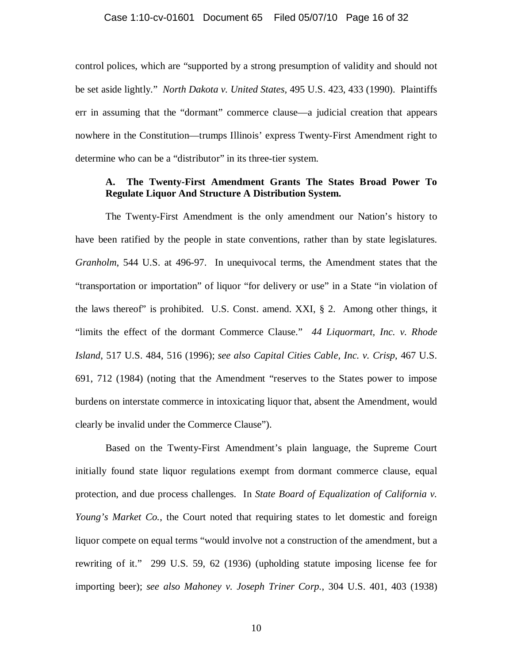control polices, which are "supported by a strong presumption of validity and should not be set aside lightly." *North Dakota v. United States,* 495 U.S. 423, 433 (1990). Plaintiffs err in assuming that the "dormant" commerce clause—a judicial creation that appears nowhere in the Constitution—trumps Illinois' express Twenty-First Amendment right to determine who can be a "distributor" in its three-tier system.

### **A. The Twenty-First Amendment Grants The States Broad Power To Regulate Liquor And Structure A Distribution System.**

 The Twenty-First Amendment is the only amendment our Nation's history to have been ratified by the people in state conventions, rather than by state legislatures. *Granholm*, 544 U.S. at 496-97. In unequivocal terms, the Amendment states that the "transportation or importation" of liquor "for delivery or use" in a State "in violation of the laws thereof" is prohibited.U.S. Const. amend. XXI, § 2. Among other things, it "limits the effect of the dormant Commerce Clause." *44 Liquormart, Inc. v. Rhode Island*, 517 U.S. 484, 516 (1996); *see also Capital Cities Cable, Inc. v. Crisp*, 467 U.S. 691, 712 (1984) (noting that the Amendment "reserves to the States power to impose burdens on interstate commerce in intoxicating liquor that, absent the Amendment, would clearly be invalid under the Commerce Clause").

 Based on the Twenty-First Amendment's plain language, the Supreme Court initially found state liquor regulations exempt from dormant commerce clause, equal protection, and due process challenges. In *State Board of Equalization of California v. Young's Market Co.*, the Court noted that requiring states to let domestic and foreign liquor compete on equal terms "would involve not a construction of the amendment, but a rewriting of it." 299 U.S. 59, 62 (1936) (upholding statute imposing license fee for importing beer); *see also Mahoney v. Joseph Triner Corp.*, 304 U.S. 401, 403 (1938)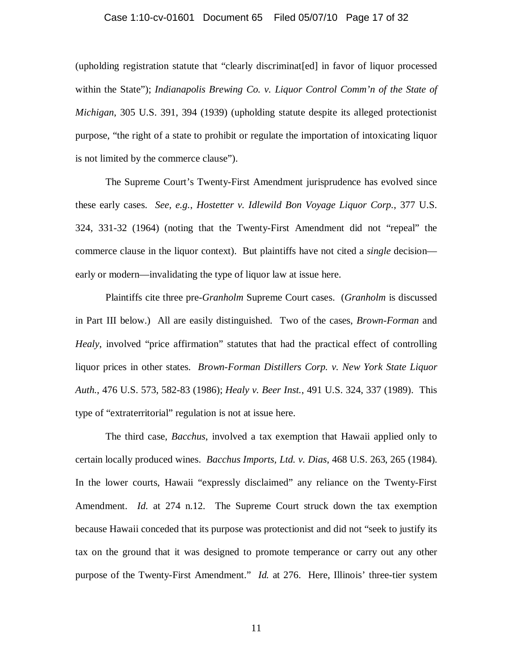#### Case 1:10-cv-01601 Document 65 Filed 05/07/10 Page 17 of 32

(upholding registration statute that "clearly discriminat[ed] in favor of liquor processed within the State"); *Indianapolis Brewing Co. v. Liquor Control Comm'n of the State of Michigan*, 305 U.S. 391, 394 (1939) (upholding statute despite its alleged protectionist purpose, "the right of a state to prohibit or regulate the importation of intoxicating liquor is not limited by the commerce clause").

 The Supreme Court's Twenty-First Amendment jurisprudence has evolved since these early cases. *See, e.g.*, *Hostetter v. Idlewild Bon Voyage Liquor Corp.*, 377 U.S. 324, 331-32 (1964) (noting that the Twenty-First Amendment did not "repeal" the commerce clause in the liquor context). But plaintiffs have not cited a *single* decision early or modern—invalidating the type of liquor law at issue here.

 Plaintiffs cite three pre-*Granholm* Supreme Court cases. (*Granholm* is discussed in Part III below.) All are easily distinguished. Two of the cases, *Brown-Forman* and *Healy*, involved "price affirmation" statutes that had the practical effect of controlling liquor prices in other states. *Brown-Forman Distillers Corp. v. New York State Liquor Auth.*, 476 U.S. 573, 582-83 (1986); *Healy v. Beer Inst.*, 491 U.S. 324, 337 (1989). This type of "extraterritorial" regulation is not at issue here.

 The third case, *Bacchus*, involved a tax exemption that Hawaii applied only to certain locally produced wines. *Bacchus Imports, Ltd. v. Dias*, 468 U.S. 263, 265 (1984). In the lower courts, Hawaii "expressly disclaimed" any reliance on the Twenty-First Amendment. *Id.* at 274 n.12. The Supreme Court struck down the tax exemption because Hawaii conceded that its purpose was protectionist and did not "seek to justify its tax on the ground that it was designed to promote temperance or carry out any other purpose of the Twenty-First Amendment." *Id.* at 276. Here, Illinois' three-tier system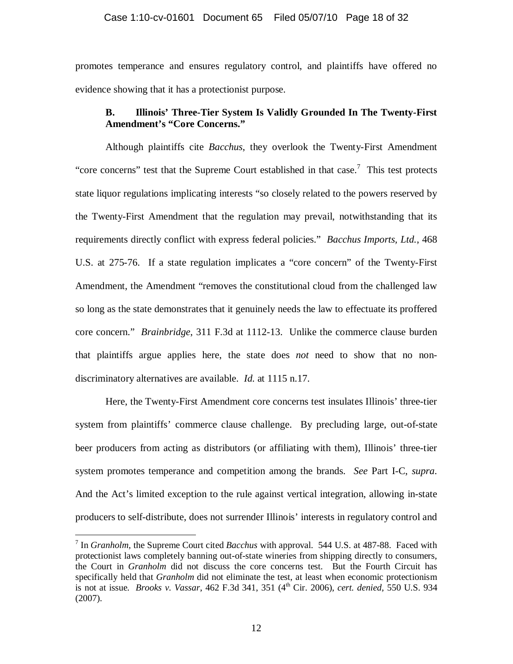promotes temperance and ensures regulatory control, and plaintiffs have offered no evidence showing that it has a protectionist purpose.

# **B. Illinois' Three-Tier System Is Validly Grounded In The Twenty-First Amendment's "Core Concerns."**

 Although plaintiffs cite *Bacchus*, they overlook the Twenty-First Amendment "core concerns" test that the Supreme Court established in that case.<sup>7</sup> This test protects state liquor regulations implicating interests "so closely related to the powers reserved by the Twenty-First Amendment that the regulation may prevail, notwithstanding that its requirements directly conflict with express federal policies." *Bacchus Imports, Ltd.*, 468 U.S. at 275-76. If a state regulation implicates a "core concern" of the Twenty-First Amendment, the Amendment "removes the constitutional cloud from the challenged law so long as the state demonstrates that it genuinely needs the law to effectuate its proffered core concern." *Brainbridge*, 311 F.3d at 1112-13. Unlike the commerce clause burden that plaintiffs argue applies here, the state does *not* need to show that no nondiscriminatory alternatives are available. *Id.* at 1115 n.17.

 Here, the Twenty-First Amendment core concerns test insulates Illinois' three-tier system from plaintiffs' commerce clause challenge. By precluding large, out-of-state beer producers from acting as distributors (or affiliating with them), Illinois' three-tier system promotes temperance and competition among the brands. *See* Part I-C, *supra*. And the Act's limited exception to the rule against vertical integration, allowing in-state producers to self-distribute, does not surrender Illinois' interests in regulatory control and

<u>.</u>

<sup>7</sup> In *Granholm*, the Supreme Court cited *Bacchus* with approval. 544 U.S. at 487-88. Faced with protectionist laws completely banning out-of-state wineries from shipping directly to consumers, the Court in *Granholm* did not discuss the core concerns test. But the Fourth Circuit has specifically held that *Granholm* did not eliminate the test, at least when economic protectionism is not at issue. *Brooks v. Vassar*, 462 F.3d 341, 351 (4th Cir. 2006), *cert. denied*, 550 U.S. 934 (2007).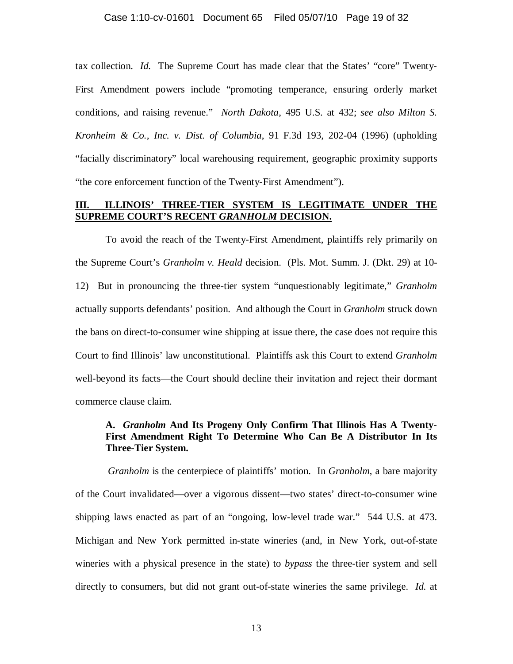tax collection. *Id.* The Supreme Court has made clear that the States' "core" Twenty-First Amendment powers include "promoting temperance, ensuring orderly market conditions, and raising revenue." *North Dakota*, 495 U.S. at 432; *see also Milton S. Kronheim & Co., Inc. v. Dist. of Columbia*, 91 F.3d 193, 202-04 (1996) (upholding "facially discriminatory" local warehousing requirement, geographic proximity supports "the core enforcement function of the Twenty-First Amendment").

### **III. ILLINOIS' THREE-TIER SYSTEM IS LEGITIMATE UNDER THE SUPREME COURT'S RECENT** *GRANHOLM* **DECISION.**

 To avoid the reach of the Twenty-First Amendment, plaintiffs rely primarily on the Supreme Court's *Granholm v. Heald* decision. (Pls. Mot. Summ. J. (Dkt. 29) at 10- 12) But in pronouncing the three-tier system "unquestionably legitimate," *Granholm* actually supports defendants' position. And although the Court in *Granholm* struck down the bans on direct-to-consumer wine shipping at issue there, the case does not require this Court to find Illinois' law unconstitutional. Plaintiffs ask this Court to extend *Granholm* well-beyond its facts—the Court should decline their invitation and reject their dormant commerce clause claim.

# **A.** *Granholm* **And Its Progeny Only Confirm That Illinois Has A Twenty-First Amendment Right To Determine Who Can Be A Distributor In Its Three-Tier System.**

 *Granholm* is the centerpiece of plaintiffs' motion. In *Granholm*, a bare majority of the Court invalidated—over a vigorous dissent—two states' direct-to-consumer wine shipping laws enacted as part of an "ongoing, low-level trade war." 544 U.S. at 473. Michigan and New York permitted in-state wineries (and, in New York, out-of-state wineries with a physical presence in the state) to *bypass* the three-tier system and sell directly to consumers, but did not grant out-of-state wineries the same privilege. *Id.* at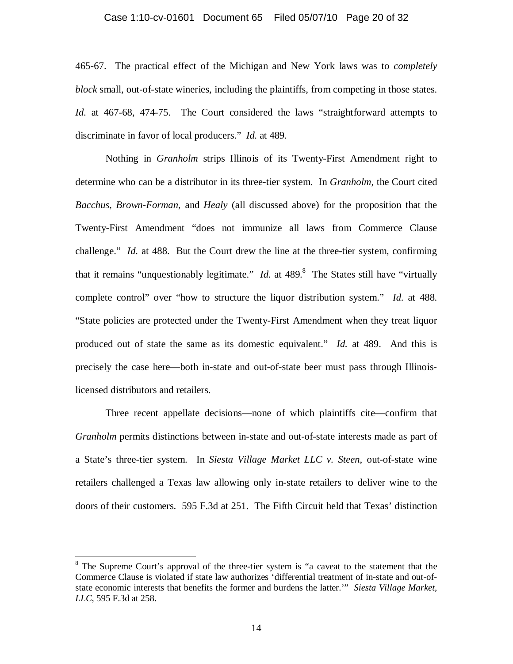#### Case 1:10-cv-01601 Document 65 Filed 05/07/10 Page 20 of 32

465-67. The practical effect of the Michigan and New York laws was to *completely block* small, out-of-state wineries, including the plaintiffs, from competing in those states. *Id.* at 467-68, 474-75. The Court considered the laws "straightforward attempts to discriminate in favor of local producers." *Id.* at 489.

 Nothing in *Granholm* strips Illinois of its Twenty-First Amendment right to determine who can be a distributor in its three-tier system. In *Granholm*, the Court cited *Bacchus*, *Brown-Forman*, and *Healy* (all discussed above) for the proposition that the Twenty-First Amendment "does not immunize all laws from Commerce Clause challenge." *Id.* at 488. But the Court drew the line at the three-tier system, confirming that it remains "unquestionably legitimate." *Id.* at  $489$ . <sup>8</sup> The States still have "virtually complete control" over "how to structure the liquor distribution system." *Id.* at 488. "State policies are protected under the Twenty-First Amendment when they treat liquor produced out of state the same as its domestic equivalent." *Id.* at 489. And this is precisely the case here—both in-state and out-of-state beer must pass through Illinoislicensed distributors and retailers.

 Three recent appellate decisions—none of which plaintiffs cite—confirm that *Granholm* permits distinctions between in-state and out-of-state interests made as part of a State's three-tier system. In *Siesta Village Market LLC v. Steen*, out-of-state wine retailers challenged a Texas law allowing only in-state retailers to deliver wine to the doors of their customers. 595 F.3d at 251. The Fifth Circuit held that Texas' distinction

<u>.</u>

<sup>&</sup>lt;sup>8</sup> The Supreme Court's approval of the three-tier system is "a caveat to the statement that the Commerce Clause is violated if state law authorizes 'differential treatment of in-state and out-ofstate economic interests that benefits the former and burdens the latter.'" *Siesta Village Market, LLC*, 595 F.3d at 258.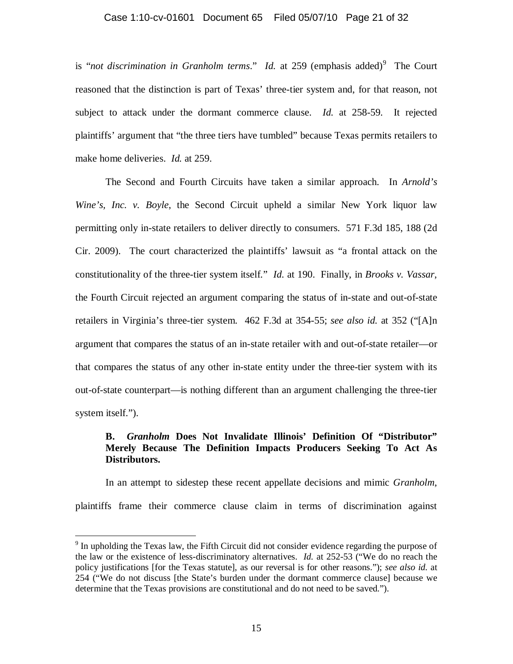### Case 1:10-cv-01601 Document 65 Filed 05/07/10 Page 21 of 32

is "not discrimination in Granholm terms." Id. at 259 (emphasis added)<sup>9</sup> The Court reasoned that the distinction is part of Texas' three-tier system and, for that reason, not subject to attack under the dormant commerce clause. *Id.* at 258-59. It rejected plaintiffs' argument that "the three tiers have tumbled" because Texas permits retailers to make home deliveries. *Id.* at 259.

 The Second and Fourth Circuits have taken a similar approach. In *Arnold's Wine's, Inc. v. Boyle, the Second Circuit upheld a similar New York liquor law* permitting only in-state retailers to deliver directly to consumers. 571 F.3d 185, 188 (2d Cir. 2009). The court characterized the plaintiffs' lawsuit as "a frontal attack on the constitutionality of the three-tier system itself." *Id.* at 190. Finally, in *Brooks v. Vassar*, the Fourth Circuit rejected an argument comparing the status of in-state and out-of-state retailers in Virginia's three-tier system. 462 F.3d at 354-55; *see also id.* at 352 ("[A]n argument that compares the status of an in-state retailer with and out-of-state retailer—or that compares the status of any other in-state entity under the three-tier system with its out-of-state counterpart—is nothing different than an argument challenging the three-tier system itself.").

### **B.** *Granholm* **Does Not Invalidate Illinois' Definition Of "Distributor" Merely Because The Definition Impacts Producers Seeking To Act As Distributors.**

In an attempt to sidestep these recent appellate decisions and mimic *Granholm*, plaintiffs frame their commerce clause claim in terms of discrimination against

<sup>&</sup>lt;sup>9</sup> In upholding the Texas law, the Fifth Circuit did not consider evidence regarding the purpose of the law or the existence of less-discriminatory alternatives. *Id.* at 252-53 ("We do no reach the policy justifications [for the Texas statute], as our reversal is for other reasons."); *see also id.* at 254 ("We do not discuss [the State's burden under the dormant commerce clause] because we determine that the Texas provisions are constitutional and do not need to be saved.").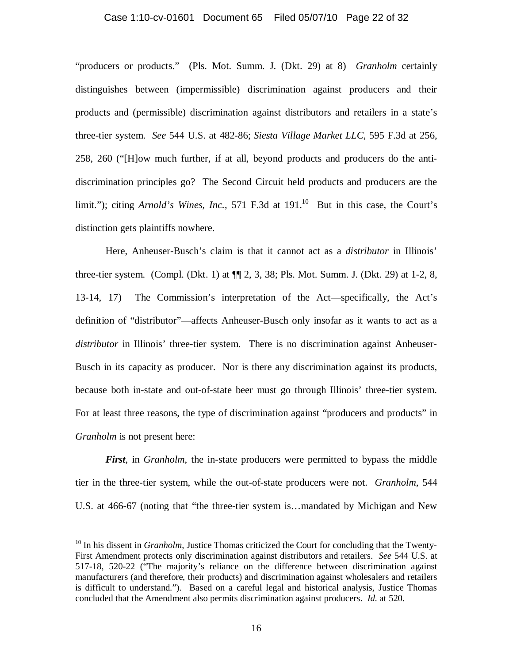### Case 1:10-cv-01601 Document 65 Filed 05/07/10 Page 22 of 32

"producers or products." (Pls. Mot. Summ. J. (Dkt. 29) at 8) *Granholm* certainly distinguishes between (impermissible) discrimination against producers and their products and (permissible) discrimination against distributors and retailers in a state's three-tier system. *See* 544 U.S. at 482-86; *Siesta Village Market LLC*, 595 F.3d at 256, 258, 260 ("[H]ow much further, if at all, beyond products and producers do the antidiscrimination principles go? The Second Circuit held products and producers are the limit."); citing *Arnold's Wines, Inc.*, 571 F.3d at  $191$ <sup>10</sup> But in this case, the Court's distinction gets plaintiffs nowhere.

 Here, Anheuser-Busch's claim is that it cannot act as a *distributor* in Illinois' three-tier system. (Compl. (Dkt. 1) at ¶¶ 2, 3, 38; Pls. Mot. Summ. J. (Dkt. 29) at 1-2, 8, 13-14, 17) The Commission's interpretation of the Act—specifically, the Act's definition of "distributor"—affects Anheuser-Busch only insofar as it wants to act as a *distributor* in Illinois' three-tier system. There is no discrimination against Anheuser-Busch in its capacity as producer. Nor is there any discrimination against its products, because both in-state and out-of-state beer must go through Illinois' three-tier system. For at least three reasons, the type of discrimination against "producers and products" in *Granholm* is not present here:

*First*, in *Granholm*, the in-state producers were permitted to bypass the middle tier in the three-tier system, while the out-of-state producers were not. *Granholm*, 544 U.S. at 466-67 (noting that "the three-tier system is…mandated by Michigan and New

<sup>&</sup>lt;sup>10</sup> In his dissent in *Granholm*, Justice Thomas criticized the Court for concluding that the Twenty-First Amendment protects only discrimination against distributors and retailers. *See* 544 U.S. at 517-18, 520-22 ("The majority's reliance on the difference between discrimination against manufacturers (and therefore, their products) and discrimination against wholesalers and retailers is difficult to understand."). Based on a careful legal and historical analysis, Justice Thomas concluded that the Amendment also permits discrimination against producers. *Id.* at 520.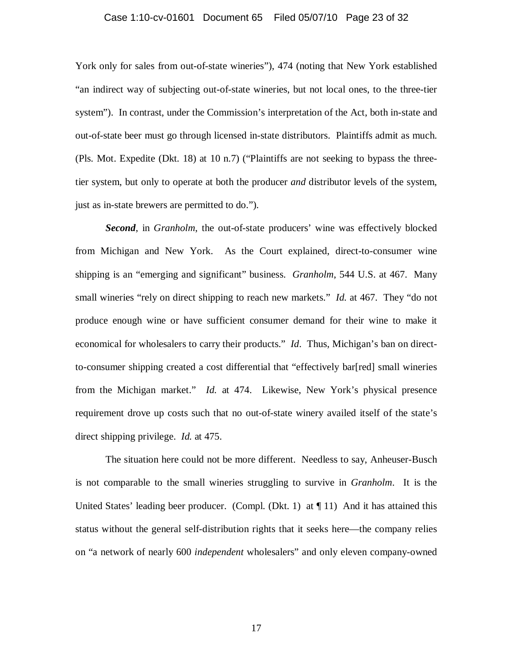#### Case 1:10-cv-01601 Document 65 Filed 05/07/10 Page 23 of 32

York only for sales from out-of-state wineries"), 474 (noting that New York established "an indirect way of subjecting out-of-state wineries, but not local ones, to the three-tier system"). In contrast, under the Commission's interpretation of the Act, both in-state and out-of-state beer must go through licensed in-state distributors. Plaintiffs admit as much. (Pls. Mot. Expedite (Dkt. 18) at 10 n.7) ("Plaintiffs are not seeking to bypass the threetier system, but only to operate at both the producer *and* distributor levels of the system, just as in-state brewers are permitted to do.").

*Second*, in *Granholm*, the out-of-state producers' wine was effectively blocked from Michigan and New York. As the Court explained, direct-to-consumer wine shipping is an "emerging and significant" business. *Granholm*, 544 U.S. at 467. Many small wineries "rely on direct shipping to reach new markets." *Id.* at 467. They "do not produce enough wine or have sufficient consumer demand for their wine to make it economical for wholesalers to carry their products." *Id*. Thus, Michigan's ban on directto-consumer shipping created a cost differential that "effectively bar[red] small wineries from the Michigan market." *Id.* at 474. Likewise, New York's physical presence requirement drove up costs such that no out-of-state winery availed itself of the state's direct shipping privilege. *Id.* at 475.

 The situation here could not be more different. Needless to say, Anheuser-Busch is not comparable to the small wineries struggling to survive in *Granholm*. It is the United States' leading beer producer. (Compl. (Dkt. 1) at  $\P$  11) And it has attained this status without the general self-distribution rights that it seeks here—the company relies on "a network of nearly 600 *independent* wholesalers" and only eleven company-owned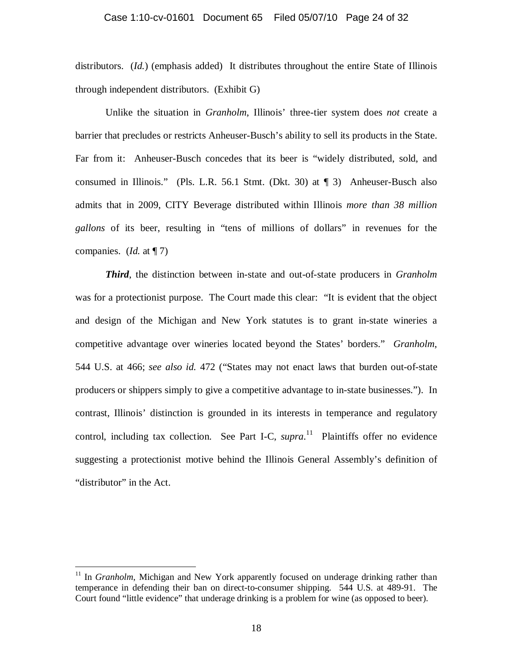distributors. (*Id.*) (emphasis added) It distributes throughout the entire State of Illinois through independent distributors. (Exhibit G)

 Unlike the situation in *Granholm*, Illinois' three-tier system does *not* create a barrier that precludes or restricts Anheuser-Busch's ability to sell its products in the State. Far from it: Anheuser-Busch concedes that its beer is "widely distributed, sold, and consumed in Illinois." (Pls. L.R. 56.1 Stmt. (Dkt. 30) at ¶ 3) Anheuser-Busch also admits that in 2009, CITY Beverage distributed within Illinois *more than 38 million gallons* of its beer, resulting in "tens of millions of dollars" in revenues for the companies. (*Id.* at ¶ 7)

*Third*, the distinction between in-state and out-of-state producers in *Granholm* was for a protectionist purpose. The Court made this clear: "It is evident that the object and design of the Michigan and New York statutes is to grant in-state wineries a competitive advantage over wineries located beyond the States' borders." *Granholm*, 544 U.S. at 466; *see also id.* 472 ("States may not enact laws that burden out-of-state producers or shippers simply to give a competitive advantage to in-state businesses."). In contrast, Illinois' distinction is grounded in its interests in temperance and regulatory control, including tax collection. See Part I-C, *supra*.<sup>11</sup> Plaintiffs offer no evidence suggesting a protectionist motive behind the Illinois General Assembly's definition of "distributor" in the Act.

<sup>&</sup>lt;sup>11</sup> In *Granholm*, Michigan and New York apparently focused on underage drinking rather than temperance in defending their ban on direct-to-consumer shipping. 544 U.S. at 489-91. The Court found "little evidence" that underage drinking is a problem for wine (as opposed to beer).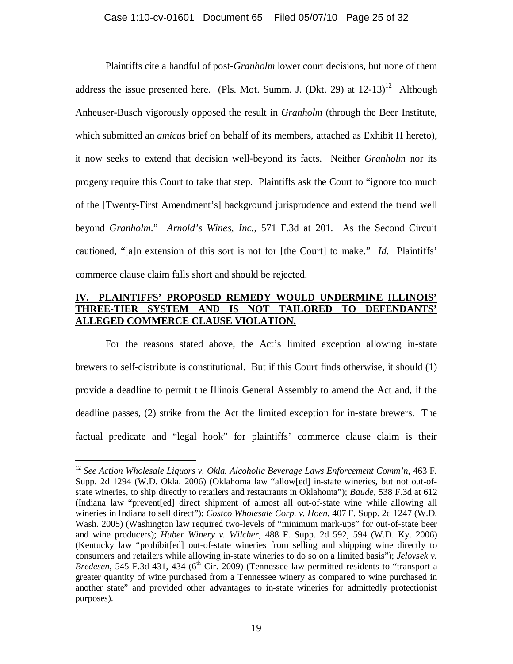Plaintiffs cite a handful of post-*Granholm* lower court decisions, but none of them address the issue presented here. (Pls. Mot. Summ. J. (Dkt. 29) at  $12-13$ <sup>12</sup> Although Anheuser-Busch vigorously opposed the result in *Granholm* (through the Beer Institute, which submitted an *amicus* brief on behalf of its members, attached as Exhibit H hereto), it now seeks to extend that decision well-beyond its facts. Neither *Granholm* nor its progeny require this Court to take that step. Plaintiffs ask the Court to "ignore too much of the [Twenty-First Amendment's] background jurisprudence and extend the trend well beyond *Granholm*." *Arnold's Wines, Inc.*, 571 F.3d at 201. As the Second Circuit cautioned, "[a]n extension of this sort is not for [the Court] to make." *Id.* Plaintiffs' commerce clause claim falls short and should be rejected.

# **IV. PLAINTIFFS' PROPOSED REMEDY WOULD UNDERMINE ILLINOIS' THREE-TIER SYSTEM AND IS NOT TAILORED TO DEFENDANTS' ALLEGED COMMERCE CLAUSE VIOLATION.**

 For the reasons stated above, the Act's limited exception allowing in-state brewers to self-distribute is constitutional. But if this Court finds otherwise, it should (1) provide a deadline to permit the Illinois General Assembly to amend the Act and, if the deadline passes, (2) strike from the Act the limited exception for in-state brewers. The factual predicate and "legal hook" for plaintiffs' commerce clause claim is their

<sup>12</sup> *See Action Wholesale Liquors v. Okla. Alcoholic Beverage Laws Enforcement Comm'n*, 463 F. Supp. 2d 1294 (W.D. Okla. 2006) (Oklahoma law "allow[ed] in-state wineries, but not out-ofstate wineries, to ship directly to retailers and restaurants in Oklahoma"); *Baude*, 538 F.3d at 612 (Indiana law "prevent[ed] direct shipment of almost all out-of-state wine while allowing all wineries in Indiana to sell direct"); *Costco Wholesale Corp. v. Hoen*, 407 F. Supp. 2d 1247 (W.D. Wash. 2005) (Washington law required two-levels of "minimum mark-ups" for out-of-state beer and wine producers); *Huber Winery v. Wilcher*, 488 F. Supp. 2d 592, 594 (W.D. Ky. 2006) (Kentucky law "prohibit[ed] out-of-state wineries from selling and shipping wine directly to consumers and retailers while allowing in-state wineries to do so on a limited basis"); *Jelovsek v. Bredesen*, 545 F.3d 431, 434 (6<sup>th</sup> Cir. 2009) (Tennessee law permitted residents to "transport a greater quantity of wine purchased from a Tennessee winery as compared to wine purchased in another state" and provided other advantages to in-state wineries for admittedly protectionist purposes).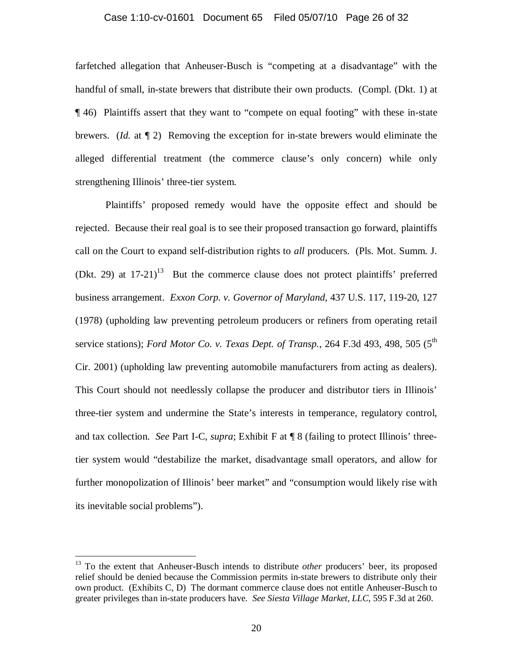#### Case 1:10-cv-01601 Document 65 Filed 05/07/10 Page 26 of 32

farfetched allegation that Anheuser-Busch is "competing at a disadvantage" with the handful of small, in-state brewers that distribute their own products. (Compl. (Dkt. 1) at ¶ 46) Plaintiffs assert that they want to "compete on equal footing" with these in-state brewers. (*Id.* at ¶ 2) Removing the exception for in-state brewers would eliminate the alleged differential treatment (the commerce clause's only concern) while only strengthening Illinois' three-tier system.

 Plaintiffs' proposed remedy would have the opposite effect and should be rejected. Because their real goal is to see their proposed transaction go forward, plaintiffs call on the Court to expand self-distribution rights to *all* producers. (Pls. Mot. Summ. J. (Dkt. 29) at  $17-21$ <sup>13</sup> But the commerce clause does not protect plaintiffs' preferred business arrangement. *Exxon Corp. v. Governor of Maryland*, 437 U.S. 117, 119-20, 127 (1978) (upholding law preventing petroleum producers or refiners from operating retail service stations); *Ford Motor Co. v. Texas Dept. of Transp.*, 264 F.3d 493, 498, 505 (5<sup>th</sup>) Cir. 2001) (upholding law preventing automobile manufacturers from acting as dealers). This Court should not needlessly collapse the producer and distributor tiers in Illinois' three-tier system and undermine the State's interests in temperance, regulatory control, and tax collection. *See* Part I-C, *supra*; Exhibit F at ¶ 8 (failing to protect Illinois' threetier system would "destabilize the market, disadvantage small operators, and allow for further monopolization of Illinois' beer market" and "consumption would likely rise with its inevitable social problems").

<u>.</u>

<sup>&</sup>lt;sup>13</sup> To the extent that Anheuser-Busch intends to distribute *other* producers' beer, its proposed relief should be denied because the Commission permits in-state brewers to distribute only their own product. (Exhibits C, D) The dormant commerce clause does not entitle Anheuser-Busch to greater privileges than in-state producers have. *See Siesta Village Market, LLC*, 595 F.3d at 260.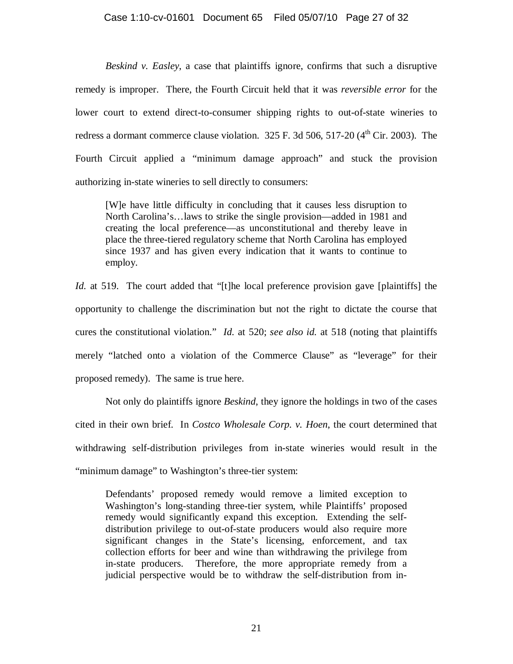### Case 1:10-cv-01601 Document 65 Filed 05/07/10 Page 27 of 32

*Beskind v. Easley*, a case that plaintiffs ignore, confirms that such a disruptive remedy is improper. There, the Fourth Circuit held that it was *reversible error* for the lower court to extend direct-to-consumer shipping rights to out-of-state wineries to redress a dormant commerce clause violation.  $325$  F. 3d 506, 517-20 ( $4<sup>th</sup>$  Cir. 2003). The Fourth Circuit applied a "minimum damage approach" and stuck the provision authorizing in-state wineries to sell directly to consumers:

[W]e have little difficulty in concluding that it causes less disruption to North Carolina's…laws to strike the single provision—added in 1981 and creating the local preference—as unconstitutional and thereby leave in place the three-tiered regulatory scheme that North Carolina has employed since 1937 and has given every indication that it wants to continue to employ.

*Id.* at 519. The court added that "[t]he local preference provision gave [plaintiffs] the opportunity to challenge the discrimination but not the right to dictate the course that cures the constitutional violation." *Id.* at 520; *see also id.* at 518 (noting that plaintiffs merely "latched onto a violation of the Commerce Clause" as "leverage" for their proposed remedy). The same is true here.

 Not only do plaintiffs ignore *Beskind*, they ignore the holdings in two of the cases cited in their own brief. In *Costco Wholesale Corp. v. Hoen*, the court determined that withdrawing self-distribution privileges from in-state wineries would result in the "minimum damage" to Washington's three-tier system:

Defendants' proposed remedy would remove a limited exception to Washington's long-standing three-tier system, while Plaintiffs' proposed remedy would significantly expand this exception. Extending the selfdistribution privilege to out-of-state producers would also require more significant changes in the State's licensing, enforcement, and tax collection efforts for beer and wine than withdrawing the privilege from in-state producers. Therefore, the more appropriate remedy from a judicial perspective would be to withdraw the self-distribution from in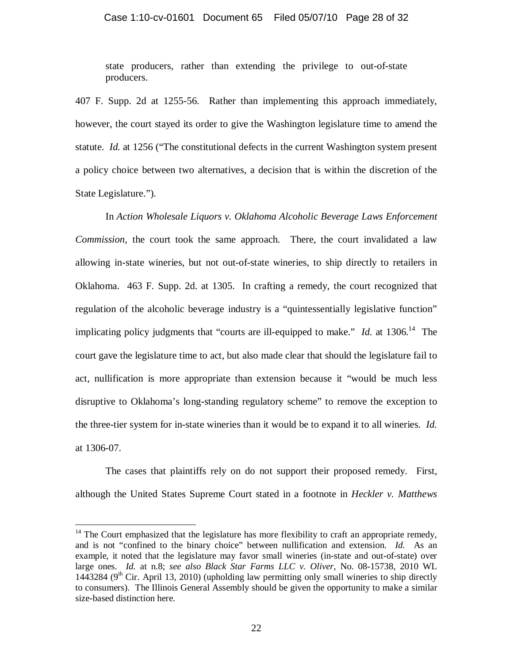state producers, rather than extending the privilege to out-of-state producers.

407 F. Supp. 2d at 1255-56. Rather than implementing this approach immediately, however, the court stayed its order to give the Washington legislature time to amend the statute. *Id.* at 1256 ("The constitutional defects in the current Washington system present a policy choice between two alternatives, a decision that is within the discretion of the State Legislature.").

 In *Action Wholesale Liquors v. Oklahoma Alcoholic Beverage Laws Enforcement Commission*, the court took the same approach. There, the court invalidated a law allowing in-state wineries, but not out-of-state wineries, to ship directly to retailers in Oklahoma. 463 F. Supp. 2d. at 1305. In crafting a remedy, the court recognized that regulation of the alcoholic beverage industry is a "quintessentially legislative function" implicating policy judgments that "courts are ill-equipped to make." *Id.* at  $1306$ <sup>14</sup> The court gave the legislature time to act, but also made clear that should the legislature fail to act, nullification is more appropriate than extension because it "would be much less disruptive to Oklahoma's long-standing regulatory scheme" to remove the exception to the three-tier system for in-state wineries than it would be to expand it to all wineries. *Id.* at 1306-07.

 The cases that plaintiffs rely on do not support their proposed remedy. First, although the United States Supreme Court stated in a footnote in *Heckler v. Matthews*

-

 $14$  The Court emphasized that the legislature has more flexibility to craft an appropriate remedy, and is not "confined to the binary choice" between nullification and extension. *Id.* As an example, it noted that the legislature may favor small wineries (in-state and out-of-state) over large ones. *Id.* at n.8; *see also Black Star Farms LLC v. Oliver*, No. 08-15738, 2010 WL 1443284 ( $9<sup>th</sup>$  Cir. April 13, 2010) (upholding law permitting only small wineries to ship directly to consumers). The Illinois General Assembly should be given the opportunity to make a similar size-based distinction here.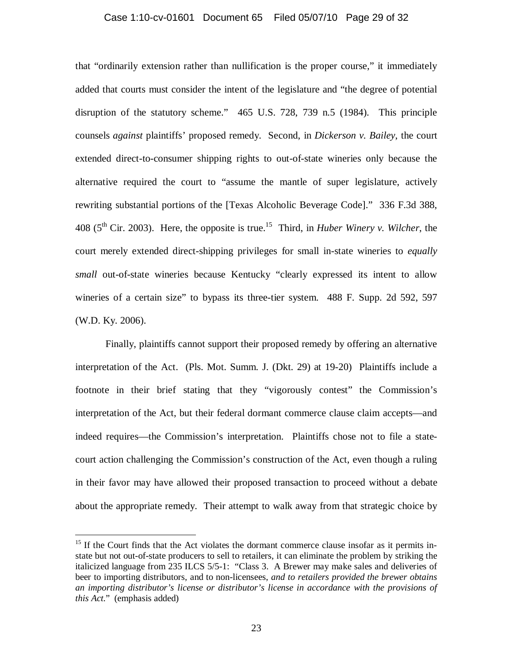### Case 1:10-cv-01601 Document 65 Filed 05/07/10 Page 29 of 32

that "ordinarily extension rather than nullification is the proper course," it immediately added that courts must consider the intent of the legislature and "the degree of potential disruption of the statutory scheme." 465 U.S. 728, 739 n.5 (1984). This principle counsels *against* plaintiffs' proposed remedy. Second, in *Dickerson v. Bailey*, the court extended direct-to-consumer shipping rights to out-of-state wineries only because the alternative required the court to "assume the mantle of super legislature, actively rewriting substantial portions of the [Texas Alcoholic Beverage Code]." 336 F.3d 388, 408 ( $5<sup>th</sup>$  Cir. 2003). Here, the opposite is true.<sup>15</sup> Third, in *Huber Winery v. Wilcher*, the court merely extended direct-shipping privileges for small in-state wineries to *equally small* out-of-state wineries because Kentucky "clearly expressed its intent to allow wineries of a certain size" to bypass its three-tier system. 488 F. Supp. 2d 592, 597 (W.D. Ky. 2006).

 Finally, plaintiffs cannot support their proposed remedy by offering an alternative interpretation of the Act. (Pls. Mot. Summ. J. (Dkt. 29) at 19-20) Plaintiffs include a footnote in their brief stating that they "vigorously contest" the Commission's interpretation of the Act, but their federal dormant commerce clause claim accepts—and indeed requires—the Commission's interpretation. Plaintiffs chose not to file a statecourt action challenging the Commission's construction of the Act, even though a ruling in their favor may have allowed their proposed transaction to proceed without a debate about the appropriate remedy. Their attempt to walk away from that strategic choice by

<u>.</u>

<sup>&</sup>lt;sup>15</sup> If the Court finds that the Act violates the dormant commerce clause insofar as it permits instate but not out-of-state producers to sell to retailers, it can eliminate the problem by striking the italicized language from 235 ILCS 5/5-1: "Class 3. A Brewer may make sales and deliveries of beer to importing distributors, and to non-licensees, *and to retailers provided the brewer obtains an importing distributor's license or distributor's license in accordance with the provisions of this Act*." (emphasis added)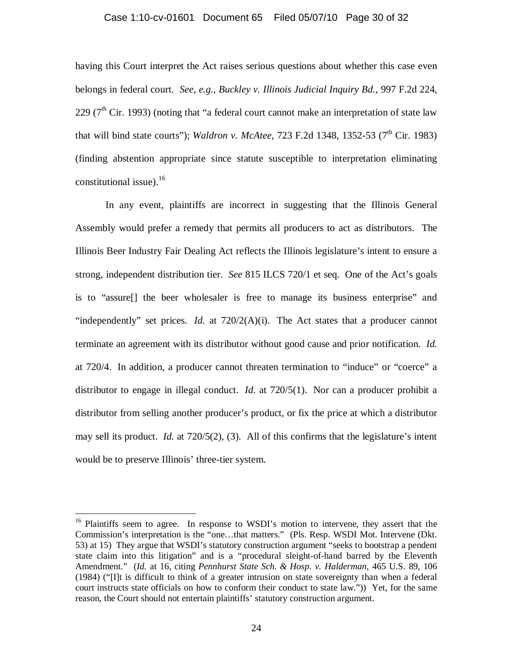#### Case 1:10-cv-01601 Document 65 Filed 05/07/10 Page 30 of 32

having this Court interpret the Act raises serious questions about whether this case even belongs in federal court. *See, e.g.*, *Buckley v. Illinois Judicial Inquiry Bd.*, 997 F.2d 224, 229 ( $7<sup>th</sup>$  Cir. 1993) (noting that "a federal court cannot make an interpretation of state law that will bind state courts"); *Waldron v. McAtee*, 723 F.2d 1348, 1352-53 (7<sup>th</sup> Cir. 1983) (finding abstention appropriate since statute susceptible to interpretation eliminating constitutional issue).<sup>16</sup>

In any event, plaintiffs are incorrect in suggesting that the Illinois General Assembly would prefer a remedy that permits all producers to act as distributors. The Illinois Beer Industry Fair Dealing Act reflects the Illinois legislature's intent to ensure a strong, independent distribution tier. *See* 815 ILCS 720/1 et seq. One of the Act's goals is to "assure[] the beer wholesaler is free to manage its business enterprise" and "independently" set prices. *Id.* at  $720/2(A)(i)$ . The Act states that a producer cannot terminate an agreement with its distributor without good cause and prior notification. *Id.* at 720/4. In addition, a producer cannot threaten termination to "induce" or "coerce" a distributor to engage in illegal conduct. *Id.* at 720/5(1). Nor can a producer prohibit a distributor from selling another producer's product, or fix the price at which a distributor may sell its product. *Id.* at 720/5(2), (3). All of this confirms that the legislature's intent would be to preserve Illinois' three-tier system.

<u>.</u>

<sup>&</sup>lt;sup>16</sup> Plaintiffs seem to agree. In response to WSDI's motion to intervene, they assert that the Commission's interpretation is the "one…that matters." (Pls. Resp. WSDI Mot. Intervene (Dkt. 53) at 15) They argue that WSDI's statutory construction argument "seeks to bootstrap a pendent state claim into this litigation" and is a "procedural sleight-of-hand barred by the Eleventh Amendment." (*Id.* at 16, citing *Pennhurst State Sch. & Hosp. v. Halderman*, 465 U.S. 89, 106 (1984) ("[I]t is difficult to think of a greater intrusion on state sovereignty than when a federal court instructs state officials on how to conform their conduct to state law.")) Yet, for the same reason, the Court should not entertain plaintiffs' statutory construction argument.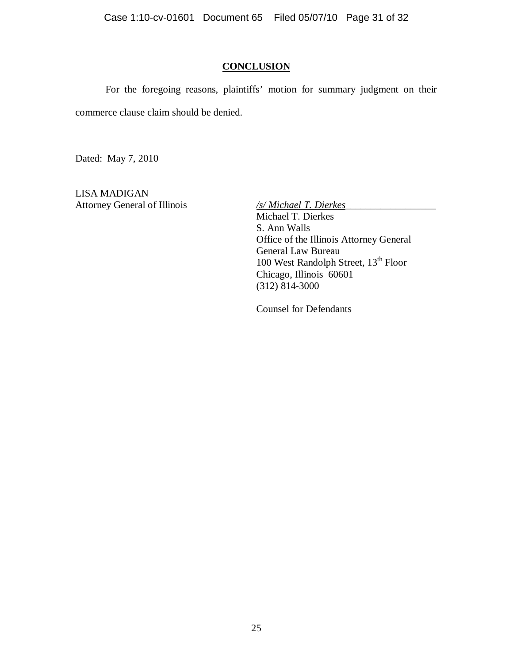Case 1:10-cv-01601 Document 65 Filed 05/07/10 Page 31 of 32

# **CONCLUSION**

 For the foregoing reasons, plaintiffs' motion for summary judgment on their commerce clause claim should be denied.

Dated: May 7, 2010

LISA MADIGAN Attorney General of Illinois */s/ Michael T. Dierkes* 

 Michael T. Dierkes S. Ann Walls Office of the Illinois Attorney General General Law Bureau 100 West Randolph Street, 13<sup>th</sup> Floor Chicago, Illinois 60601 (312) 814-3000

Counsel for Defendants